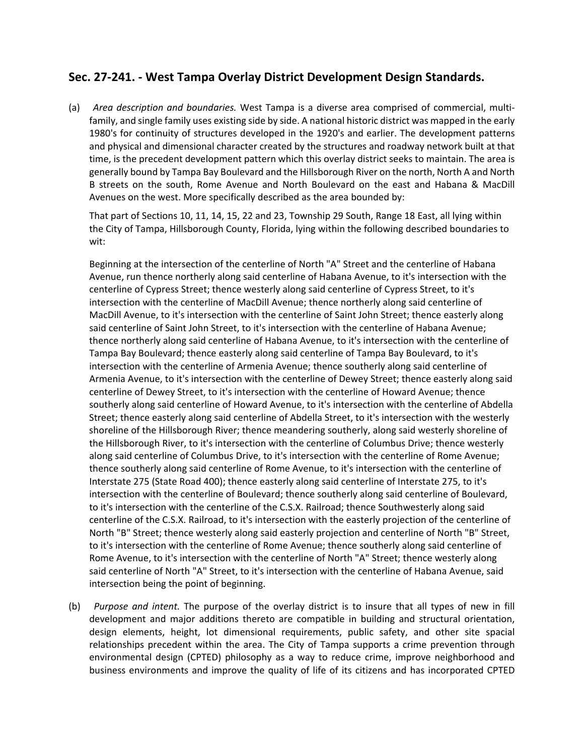# **Sec. 27‐241. ‐ West Tampa Overlay District Development Design Standards.**

(a) *Area description and boundaries.* West Tampa is a diverse area comprised of commercial, multi‐ family, and single family uses existing side by side. A national historic district was mapped in the early 1980's for continuity of structures developed in the 1920's and earlier. The development patterns and physical and dimensional character created by the structures and roadway network built at that time, is the precedent development pattern which this overlay district seeks to maintain. The area is generally bound by Tampa Bay Boulevard and the Hillsborough River on the north, North A and North B streets on the south, Rome Avenue and North Boulevard on the east and Habana & MacDill Avenues on the west. More specifically described as the area bounded by:

That part of Sections 10, 11, 14, 15, 22 and 23, Township 29 South, Range 18 East, all lying within the City of Tampa, Hillsborough County, Florida, lying within the following described boundaries to wit:

Beginning at the intersection of the centerline of North "A" Street and the centerline of Habana Avenue, run thence northerly along said centerline of Habana Avenue, to it's intersection with the centerline of Cypress Street; thence westerly along said centerline of Cypress Street, to it's intersection with the centerline of MacDill Avenue; thence northerly along said centerline of MacDill Avenue, to it's intersection with the centerline of Saint John Street; thence easterly along said centerline of Saint John Street, to it's intersection with the centerline of Habana Avenue; thence northerly along said centerline of Habana Avenue, to it's intersection with the centerline of Tampa Bay Boulevard; thence easterly along said centerline of Tampa Bay Boulevard, to it's intersection with the centerline of Armenia Avenue; thence southerly along said centerline of Armenia Avenue, to it's intersection with the centerline of Dewey Street; thence easterly along said centerline of Dewey Street, to it's intersection with the centerline of Howard Avenue; thence southerly along said centerline of Howard Avenue, to it's intersection with the centerline of Abdella Street; thence easterly along said centerline of Abdella Street, to it's intersection with the westerly shoreline of the Hillsborough River; thence meandering southerly, along said westerly shoreline of the Hillsborough River, to it's intersection with the centerline of Columbus Drive; thence westerly along said centerline of Columbus Drive, to it's intersection with the centerline of Rome Avenue; thence southerly along said centerline of Rome Avenue, to it's intersection with the centerline of Interstate 275 (State Road 400); thence easterly along said centerline of Interstate 275, to it's intersection with the centerline of Boulevard; thence southerly along said centerline of Boulevard, to it's intersection with the centerline of the C.S.X. Railroad; thence Southwesterly along said centerline of the C.S.X. Railroad, to it's intersection with the easterly projection of the centerline of North "B" Street; thence westerly along said easterly projection and centerline of North "B" Street, to it's intersection with the centerline of Rome Avenue; thence southerly along said centerline of Rome Avenue, to it's intersection with the centerline of North "A" Street; thence westerly along said centerline of North "A" Street, to it's intersection with the centerline of Habana Avenue, said intersection being the point of beginning.

(b) *Purpose and intent.* The purpose of the overlay district is to insure that all types of new in fill development and major additions thereto are compatible in building and structural orientation, design elements, height, lot dimensional requirements, public safety, and other site spacial relationships precedent within the area. The City of Tampa supports a crime prevention through environmental design (CPTED) philosophy as a way to reduce crime, improve neighborhood and business environments and improve the quality of life of its citizens and has incorporated CPTED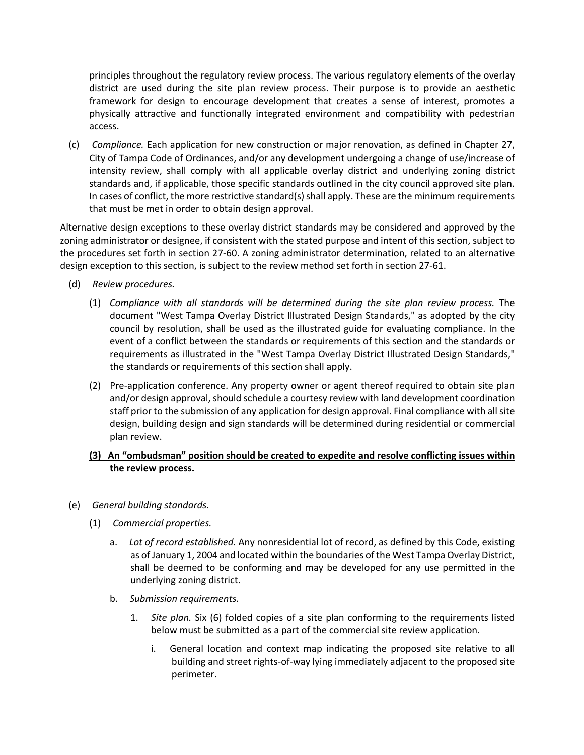principles throughout the regulatory review process. The various regulatory elements of the overlay district are used during the site plan review process. Their purpose is to provide an aesthetic framework for design to encourage development that creates a sense of interest, promotes a physically attractive and functionally integrated environment and compatibility with pedestrian access.

(c) *Compliance.* Each application for new construction or major renovation, as defined in Chapter 27, City of Tampa Code of Ordinances, and/or any development undergoing a change of use/increase of intensity review, shall comply with all applicable overlay district and underlying zoning district standards and, if applicable, those specific standards outlined in the city council approved site plan. In cases of conflict, the more restrictive standard(s) shall apply. These are the minimum requirements that must be met in order to obtain design approval.

Alternative design exceptions to these overlay district standards may be considered and approved by the zoning administrator or designee, if consistent with the stated purpose and intent of this section, subject to the procedures set forth in section 27‐60. A zoning administrator determination, related to an alternative design exception to this section, is subject to the review method set forth in section 27‐61.

- (d) *Review procedures.*
	- (1) *Compliance with all standards will be determined during the site plan review process.* The document "West Tampa Overlay District Illustrated Design Standards," as adopted by the city council by resolution, shall be used as the illustrated guide for evaluating compliance. In the event of a conflict between the standards or requirements of this section and the standards or requirements as illustrated in the "West Tampa Overlay District Illustrated Design Standards," the standards or requirements of this section shall apply.
	- (2) Pre‐application conference. Any property owner or agent thereof required to obtain site plan and/or design approval, should schedule a courtesy review with land development coordination staff prior to the submission of any application for design approval. Final compliance with all site design, building design and sign standards will be determined during residential or commercial plan review.

# **(3) An "ombudsman" position should be created to expedite and resolve conflicting issues within the review process.**

- (e) *General building standards.*
	- (1) *Commercial properties.*
		- a. *Lot of record established.* Any nonresidential lot of record, as defined by this Code, existing as of January 1, 2004 and located within the boundaries of the West Tampa Overlay District, shall be deemed to be conforming and may be developed for any use permitted in the underlying zoning district.
		- b. *Submission requirements.*
			- 1. *Site plan.* Six (6) folded copies of a site plan conforming to the requirements listed below must be submitted as a part of the commercial site review application.
				- i. General location and context map indicating the proposed site relative to all building and street rights‐of‐way lying immediately adjacent to the proposed site perimeter.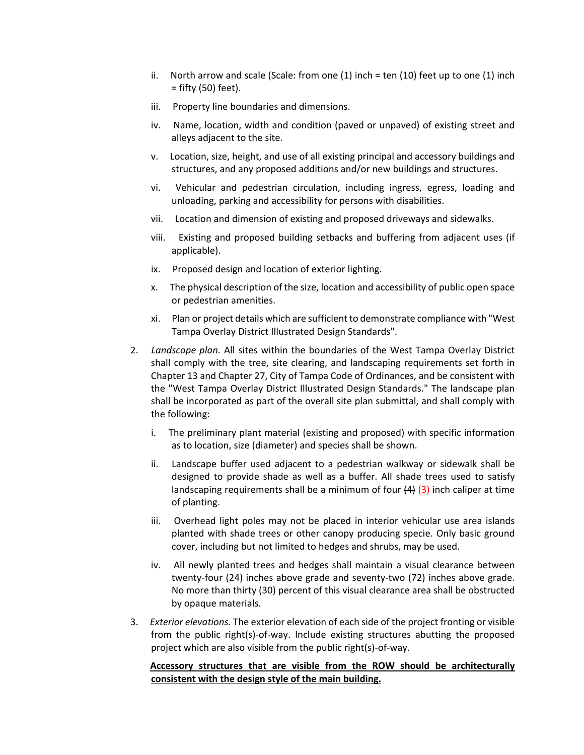- ii. North arrow and scale (Scale: from one  $(1)$  inch = ten  $(10)$  feet up to one  $(1)$  inch = fifty (50) feet).
- iii. Property line boundaries and dimensions.
- iv. Name, location, width and condition (paved or unpaved) of existing street and alleys adjacent to the site.
- v. Location, size, height, and use of all existing principal and accessory buildings and structures, and any proposed additions and/or new buildings and structures.
- vi. Vehicular and pedestrian circulation, including ingress, egress, loading and unloading, parking and accessibility for persons with disabilities.
- vii. Location and dimension of existing and proposed driveways and sidewalks.
- viii. Existing and proposed building setbacks and buffering from adjacent uses (if applicable).
- ix. Proposed design and location of exterior lighting.
- x. The physical description of the size, location and accessibility of public open space or pedestrian amenities.
- xi. Plan or project details which are sufficientto demonstrate compliance with "West Tampa Overlay District Illustrated Design Standards".
- 2. *Landscape plan.* All sites within the boundaries of the West Tampa Overlay District shall comply with the tree, site clearing, and landscaping requirements set forth in Chapter 13 and Chapter 27, City of Tampa Code of Ordinances, and be consistent with the "West Tampa Overlay District Illustrated Design Standards." The landscape plan shall be incorporated as part of the overall site plan submittal, and shall comply with the following:
	- i. The preliminary plant material (existing and proposed) with specific information as to location, size (diameter) and species shall be shown.
	- ii. Landscape buffer used adjacent to a pedestrian walkway or sidewalk shall be designed to provide shade as well as a buffer. All shade trees used to satisfy landscaping requirements shall be a minimum of four  $\left(4\right)$  (3) inch caliper at time of planting.
	- iii. Overhead light poles may not be placed in interior vehicular use area islands planted with shade trees or other canopy producing specie. Only basic ground cover, including but not limited to hedges and shrubs, may be used.
	- iv. All newly planted trees and hedges shall maintain a visual clearance between twenty‐four (24) inches above grade and seventy‐two (72) inches above grade. No more than thirty (30) percent of this visual clearance area shall be obstructed by opaque materials.
- 3. *Exterior elevations.* The exterior elevation of each side of the project fronting or visible from the public right(s)-of-way. Include existing structures abutting the proposed project which are also visible from the public right(s)‐of‐way.

## **Accessory structures that are visible from the ROW should be architecturally consistent with the design style of the main building.**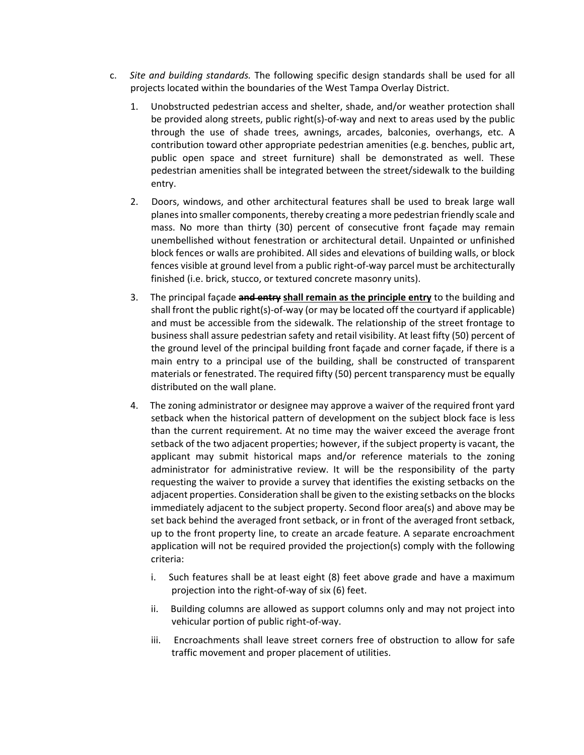- c. *Site and building standards.* The following specific design standards shall be used for all projects located within the boundaries of the West Tampa Overlay District.
	- 1. Unobstructed pedestrian access and shelter, shade, and/or weather protection shall be provided along streets, public right(s)-of-way and next to areas used by the public through the use of shade trees, awnings, arcades, balconies, overhangs, etc. A contribution toward other appropriate pedestrian amenities (e.g. benches, public art, public open space and street furniture) shall be demonstrated as well. These pedestrian amenities shall be integrated between the street/sidewalk to the building entry.
	- 2. Doors, windows, and other architectural features shall be used to break large wall planesinto smaller components, thereby creating a more pedestrian friendly scale and mass. No more than thirty (30) percent of consecutive front façade may remain unembellished without fenestration or architectural detail. Unpainted or unfinished block fences or walls are prohibited. All sides and elevations of building walls, or block fences visible at ground level from a public right‐of‐way parcel must be architecturally finished (i.e. brick, stucco, or textured concrete masonry units).
	- 3. The principal façade **and entry shall remain as the principle entry** to the building and shall front the public right(s)-of-way (or may be located off the courtyard if applicable) and must be accessible from the sidewalk. The relationship of the street frontage to business shall assure pedestrian safety and retail visibility. At least fifty (50) percent of the ground level of the principal building front façade and corner façade, if there is a main entry to a principal use of the building, shall be constructed of transparent materials or fenestrated. The required fifty (50) percent transparency must be equally distributed on the wall plane.
	- 4. The zoning administrator or designee may approve a waiver of the required front yard setback when the historical pattern of development on the subject block face is less than the current requirement. At no time may the waiver exceed the average front setback of the two adjacent properties; however, if the subject property is vacant, the applicant may submit historical maps and/or reference materials to the zoning administrator for administrative review. It will be the responsibility of the party requesting the waiver to provide a survey that identifies the existing setbacks on the adjacent properties. Consideration shall be given to the existing setbacks on the blocks immediately adjacent to the subject property. Second floor area(s) and above may be set back behind the averaged front setback, or in front of the averaged front setback, up to the front property line, to create an arcade feature. A separate encroachment application will not be required provided the projection(s) comply with the following criteria:
		- i. Such features shall be at least eight (8) feet above grade and have a maximum projection into the right‐of‐way of six (6) feet.
		- ii. Building columns are allowed as support columns only and may not project into vehicular portion of public right‐of‐way.
		- iii. Encroachments shall leave street corners free of obstruction to allow for safe traffic movement and proper placement of utilities.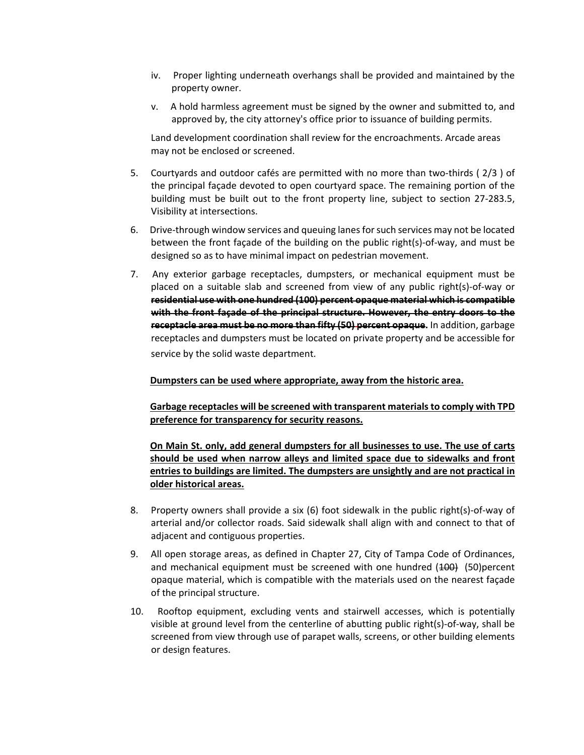- iv. Proper lighting underneath overhangs shall be provided and maintained by the property owner.
- v. A hold harmless agreement must be signed by the owner and submitted to, and approved by, the city attorney's office prior to issuance of building permits.

Land development coordination shall review for the encroachments. Arcade areas may not be enclosed or screened.

- 5. Courtyards and outdoor cafés are permitted with no more than two-thirds (2/3) of the principal façade devoted to open courtyard space. The remaining portion of the building must be built out to the front property line, subject to section 27‐283.5, Visibility at intersections.
- 6. Drive-through window services and queuing lanes for such services may not be located between the front façade of the building on the public right(s)‐of‐way, and must be designed so as to have minimal impact on pedestrian movement.
- 7. Any exterior garbage receptacles, dumpsters, or mechanical equipment must be placed on a suitable slab and screened from view of any public right(s)‐of‐way or **residential use with one hundred (100) percent opaque material which is compatible with the front façade of the principal structure. However, the entry doors to the receptacle area must be no more than fifty (50) percent opaque.** In addition, garbage receptacles and dumpsters must be located on private property and be accessible for service by the solid waste department.

#### **Dumpsters can be used where appropriate, away from the historic area.**

**Garbage receptacles will be screened with transparent materials to comply with TPD preference for transparency for security reasons.**

**On Main St. only, add general dumpsters for all businesses to use. The use of carts should be used when narrow alleys and limited space due to sidewalks and front entries to buildings are limited. The dumpsters are unsightly and are not practical in older historical areas.**

- 8. Property owners shall provide a six (6) foot sidewalk in the public right(s)-of-way of arterial and/or collector roads. Said sidewalk shall align with and connect to that of adjacent and contiguous properties.
- 9. All open storage areas, as defined in Chapter 27, City of Tampa Code of Ordinances, and mechanical equipment must be screened with one hundred  $(400)$   $(50)$ percent opaque material, which is compatible with the materials used on the nearest façade of the principal structure.
- 10. Rooftop equipment, excluding vents and stairwell accesses, which is potentially visible at ground level from the centerline of abutting public right(s)‐of‐way, shall be screened from view through use of parapet walls, screens, or other building elements or design features.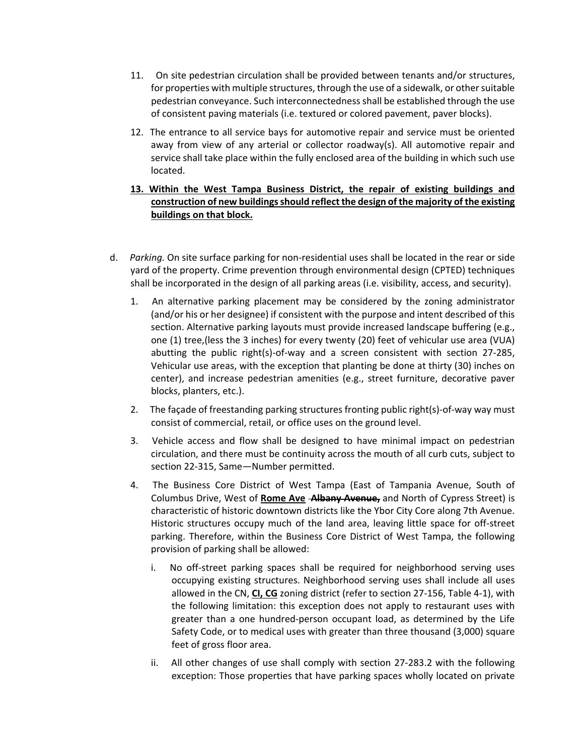- 11. On site pedestrian circulation shall be provided between tenants and/or structures, for properties with multiple structures, through the use of a sidewalk, or other suitable pedestrian conveyance. Such interconnectedness shall be established through the use of consistent paving materials (i.e. textured or colored pavement, paver blocks).
- 12. The entrance to all service bays for automotive repair and service must be oriented away from view of any arterial or collector roadway(s). All automotive repair and service shall take place within the fully enclosed area of the building in which such use located.
- **13. Within the West Tampa Business District, the repair of existing buildings and construction of new buildingsshould reflect the design of the majority of the existing buildings on that block.**
- d. Parking. On site surface parking for non-residential uses shall be located in the rear or side yard of the property. Crime prevention through environmental design (CPTED) techniques shall be incorporated in the design of all parking areas (i.e. visibility, access, and security).
	- 1. An alternative parking placement may be considered by the zoning administrator (and/or his or her designee) if consistent with the purpose and intent described of this section. Alternative parking layouts must provide increased landscape buffering (e.g., one (1) tree,(less the 3 inches) for every twenty (20) feet of vehicular use area (VUA) abutting the public right(s)‐of‐way and a screen consistent with section 27‐285, Vehicular use areas, with the exception that planting be done at thirty (30) inches on center), and increase pedestrian amenities (e.g., street furniture, decorative paver blocks, planters, etc.).
	- 2. The façade of freestanding parking structures fronting public right(s)‐of‐way way must consist of commercial, retail, or office uses on the ground level.
	- 3. Vehicle access and flow shall be designed to have minimal impact on pedestrian circulation, and there must be continuity across the mouth of all curb cuts, subject to section 22‐315, Same—Number permitted.
	- 4. The Business Core District of West Tampa (East of Tampania Avenue, South of Columbus Drive, West of **Rome Ave Albany Avenue,** and North of Cypress Street) is characteristic of historic downtown districts like the Ybor City Core along 7th Avenue. Historic structures occupy much of the land area, leaving little space for off‐street parking. Therefore, within the Business Core District of West Tampa, the following provision of parking shall be allowed:
		- i. No off-street parking spaces shall be required for neighborhood serving uses occupying existing structures. Neighborhood serving uses shall include all uses allowed in the CN, **CI, CG** zoning district (refer to section 27‐156, Table 4‐1), with the following limitation: this exception does not apply to restaurant uses with greater than a one hundred‐person occupant load, as determined by the Life Safety Code, or to medical uses with greater than three thousand (3,000) square feet of gross floor area.
		- ii. All other changes of use shall comply with section 27-283.2 with the following exception: Those properties that have parking spaces wholly located on private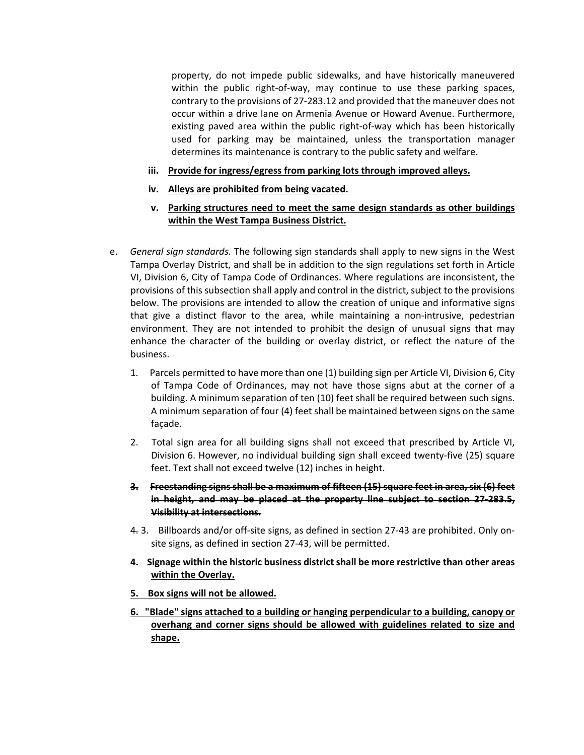property, do not impede public sidewalks, and have historically maneuvered within the public right-of-way, may continue to use these parking spaces, contrary to the provisions of 27‐283.12 and provided that the maneuver does not occur within a drive lane on Armenia Avenue or Howard Avenue. Furthermore, existing paved area within the public right-of-way which has been historically used for parking may be maintained, unless the transportation manager determines its maintenance is contrary to the public safety and welfare.

- **iii. Provide for ingress/egress from parking lots through improved alleys.**
- **iv. Alleys are prohibited from being vacated.**
- **v. Parking structures need to meet the same design standards as other buildings within the West Tampa Business District.**
- e. *General sign standards.* The following sign standards shall apply to new signs in the West Tampa Overlay District, and shall be in addition to the sign regulations set forth in Article VI, Division 6, City of Tampa Code of Ordinances. Where regulations are inconsistent, the provisions of this subsection shall apply and control in the district, subject to the provisions below. The provisions are intended to allow the creation of unique and informative signs that give a distinct flavor to the area, while maintaining a non‐intrusive, pedestrian environment. They are not intended to prohibit the design of unusual signs that may enhance the character of the building or overlay district, or reflect the nature of the business.
	- 1. Parcels permitted to have more than one (1) building sign per Article VI, Division 6, City of Tampa Code of Ordinances, may not have those signs abut at the corner of a building. A minimum separation of ten (10) feet shall be required between such signs. A minimum separation of four (4) feet shall be maintained between signs on the same façade.
	- 2. Total sign area for all building signs shall not exceed that prescribed by Article VI, Division 6. However, no individual building sign shall exceed twenty‐five (25) square feet. Text shall not exceed twelve (12) inches in height.
	- **3. Freestanding signs shall be a maximum of fifteen (15) square feet in area, six (6) feet in height, and may be placed at the property line subject to section 27‐283.5, Visibility at intersections.**
	- 4. 3. Billboards and/or off-site signs, as defined in section 27-43 are prohibited. Only onsite signs, as defined in section 27‐43, will be permitted.
	- **4. Signage within the historic business district shall be more restrictive than other areas within the Overlay.**
	- **5. Box signs will not be allowed.**
	- **6. "Blade" signs attached to a building or hanging perpendicular to a building, canopy or overhang and corner signs should be allowed with guidelines related to size and shape.**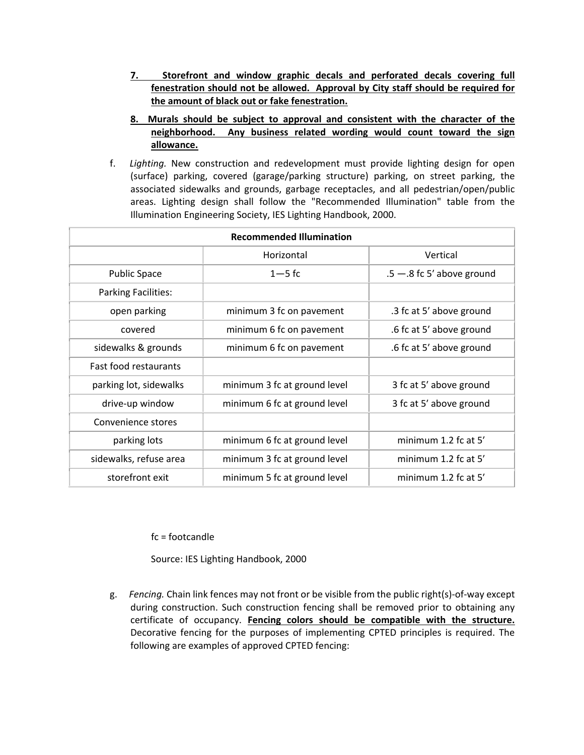- **7. Storefront and window graphic decals and perforated decals covering full fenestration should not be allowed. Approval by City staff should be required for the amount of black out or fake fenestration.**
- **8. Murals should be subject to approval and consistent with the character of the neighborhood. Any business related wording would count toward the sign allowance.**
- f. *Lighting.* New construction and redevelopment must provide lighting design for open (surface) parking, covered (garage/parking structure) parking, on street parking, the associated sidewalks and grounds, garbage receptacles, and all pedestrian/open/public areas. Lighting design shall follow the "Recommended Illumination" table from the Illumination Engineering Society, IES Lighting Handbook, 2000.

| <b>Recommended Illumination</b> |                              |                              |
|---------------------------------|------------------------------|------------------------------|
|                                 | Horizontal                   | Vertical                     |
| <b>Public Space</b>             | $1 - 5$ fc                   | $.5 - .8$ fc 5' above ground |
| <b>Parking Facilities:</b>      |                              |                              |
| open parking                    | minimum 3 fc on pavement     | .3 fc at 5' above ground     |
| covered                         | minimum 6 fc on pavement     | .6 fc at 5' above ground     |
| sidewalks & grounds             | minimum 6 fc on pavement     | .6 fc at 5' above ground     |
| <b>Fast food restaurants</b>    |                              |                              |
| parking lot, sidewalks          | minimum 3 fc at ground level | 3 fc at 5' above ground      |
| drive-up window                 | minimum 6 fc at ground level | 3 fc at 5' above ground      |
| Convenience stores              |                              |                              |
| parking lots                    | minimum 6 fc at ground level | minimum 1.2 fc at 5'         |
| sidewalks, refuse area          | minimum 3 fc at ground level | minimum 1.2 fc at 5'         |
| storefront exit                 | minimum 5 fc at ground level | minimum 1.2 fc at 5'         |

fc = footcandle

Source: IES Lighting Handbook, 2000

g. Fencing. Chain link fences may not front or be visible from the public right(s)-of-way except during construction. Such construction fencing shall be removed prior to obtaining any certificate of occupancy. **Fencing colors should be compatible with the structure.** Decorative fencing for the purposes of implementing CPTED principles is required. The following are examples of approved CPTED fencing: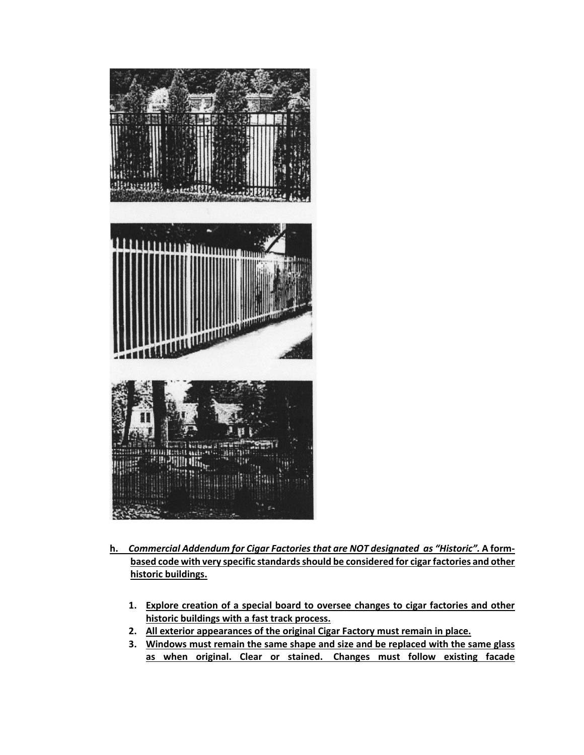

- **h.** *Commercial Addendum for Cigar Factories that are NOT designated as "Historic".* **A form‐ based code with very specific standardsshould be considered for cigarfactories and other historic buildings.**
	- **1. Explore creation of a special board to oversee changes to cigar factories and other historic buildings with a fast track process.**
	- **2. All exterior appearances of the original Cigar Factory must remain in place.**
	- **3. Windows must remain the same shape and size and be replaced with the same glass as when original. Clear or stained. Changes must follow existing facade**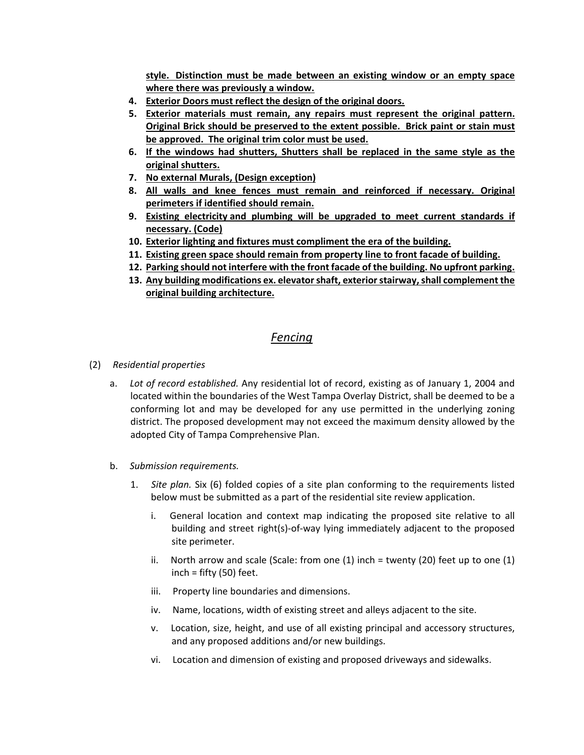**style. Distinction must be made between an existing window or an empty space where there was previously a window.**

- **4. Exterior Doors must reflect the design of the original doors.**
- **5. Exterior materials must remain, any repairs must represent the original pattern. Original Brick should be preserved to the extent possible. Brick paint or stain must be approved. The original trim color must be used.**
- **6. If the windows had shutters, Shutters shall be replaced in the same style as the original shutters.**
- **7. No external Murals, (Design exception)**
- **8. All walls and knee fences must remain and reinforced if necessary. Original perimeters if identified should remain.**
- **9. Existing electricity and plumbing will be upgraded to meet current standards if necessary. (Code)**
- **10. Exterior lighting and fixtures must compliment the era of the building.**
- **11. Existing green space should remain from property line to front facade of building.**
- **12. Parking should not interfere with the front facade of the building. No upfront parking.**
- **13. Any building modifications ex. elevatorshaft, exteriorstairway,shall complement the original building architecture.**

# *Fencing*

- (2) *Residential properties*
	- a. *Lot of record established.* Any residential lot of record, existing as of January 1, 2004 and located within the boundaries of the West Tampa Overlay District, shall be deemed to be a conforming lot and may be developed for any use permitted in the underlying zoning district. The proposed development may not exceed the maximum density allowed by the adopted City of Tampa Comprehensive Plan.
	- b. *Submission requirements.*
		- 1. *Site plan.* Six (6) folded copies of a site plan conforming to the requirements listed below must be submitted as a part of the residential site review application.
			- i. General location and context map indicating the proposed site relative to all building and street right(s)‐of‐way lying immediately adjacent to the proposed site perimeter.
			- ii. North arrow and scale (Scale: from one  $(1)$  inch = twenty  $(20)$  feet up to one  $(1)$ inch = fifty  $(50)$  feet.
			- iii. Property line boundaries and dimensions.
			- iv. Name, locations, width of existing street and alleys adjacent to the site.
			- v. Location, size, height, and use of all existing principal and accessory structures, and any proposed additions and/or new buildings.
			- vi. Location and dimension of existing and proposed driveways and sidewalks.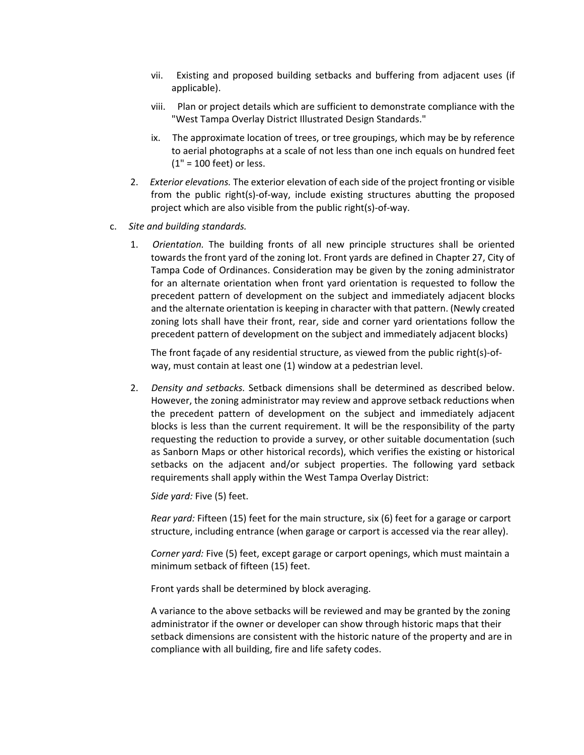- vii. Existing and proposed building setbacks and buffering from adjacent uses (if applicable).
- viii. Plan or project details which are sufficient to demonstrate compliance with the "West Tampa Overlay District Illustrated Design Standards."
- ix. The approximate location of trees, or tree groupings, which may be by reference to aerial photographs at a scale of not less than one inch equals on hundred feet (1" = 100 feet) or less.
- 2. *Exterior elevations.* The exterior elevation of each side of the project fronting or visible from the public right(s)-of-way, include existing structures abutting the proposed project which are also visible from the public right(s)‐of‐way.
- c. *Site and building standards.*
	- 1. *Orientation.* The building fronts of all new principle structures shall be oriented towards the front yard of the zoning lot. Front yards are defined in Chapter 27, City of Tampa Code of Ordinances. Consideration may be given by the zoning administrator for an alternate orientation when front yard orientation is requested to follow the precedent pattern of development on the subject and immediately adjacent blocks and the alternate orientation is keeping in character with that pattern. (Newly created zoning lots shall have their front, rear, side and corner yard orientations follow the precedent pattern of development on the subject and immediately adjacent blocks)

The front façade of any residential structure, as viewed from the public right(s)-ofway, must contain at least one (1) window at a pedestrian level.

2. *Density and setbacks.* Setback dimensions shall be determined as described below. However, the zoning administrator may review and approve setback reductions when the precedent pattern of development on the subject and immediately adjacent blocks is less than the current requirement. It will be the responsibility of the party requesting the reduction to provide a survey, or other suitable documentation (such as Sanborn Maps or other historical records), which verifies the existing or historical setbacks on the adjacent and/or subject properties. The following yard setback requirements shall apply within the West Tampa Overlay District:

*Side yard:* Five (5) feet.

*Rear yard:* Fifteen (15) feet for the main structure, six (6) feet for a garage or carport structure, including entrance (when garage or carport is accessed via the rear alley).

*Corner yard:* Five (5) feet, except garage or carport openings, which must maintain a minimum setback of fifteen (15) feet.

Front yards shall be determined by block averaging.

A variance to the above setbacks will be reviewed and may be granted by the zoning administrator if the owner or developer can show through historic maps that their setback dimensions are consistent with the historic nature of the property and are in compliance with all building, fire and life safety codes.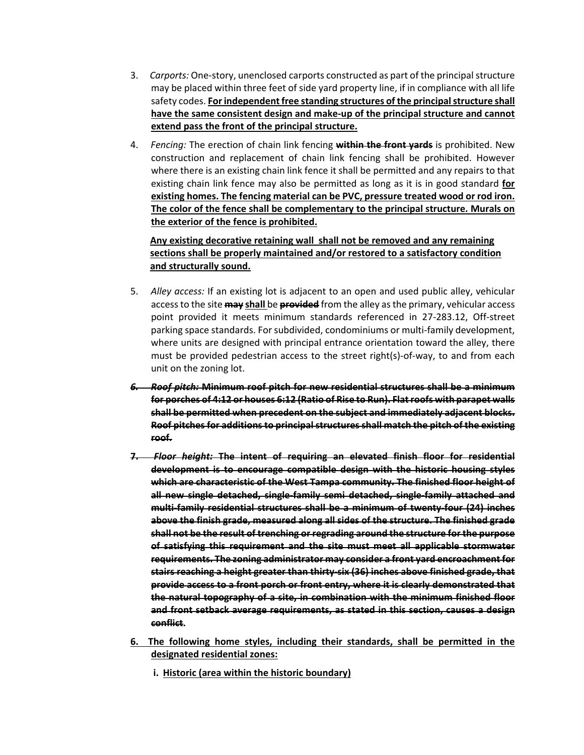- 3. *Carports:* One‐story, unenclosed carports constructed as part of the principalstructure may be placed within three feet of side yard property line, if in compliance with all life safety codes. **Forindependentfree standing structures of the principalstructure shall have the same consistent design and make‐up of the principal structure and cannot extend pass the front of the principal structure.**
- 4. *Fencing:* The erection of chain link fencing **within the front yards** is prohibited. New construction and replacement of chain link fencing shall be prohibited. However where there is an existing chain link fence it shall be permitted and any repairs to that existing chain link fence may also be permitted as long as it is in good standard **for existing homes. The fencing material can be PVC, pressure treated wood or rod iron. The color of the fence shall be complementary to the principal structure. Murals on the exterior of the fence is prohibited.**

# **Any existing decorative retaining wall shall not be removed and any remaining sections shall be properly maintained and/or restored to a satisfactory condition and structurally sound.**

- 5. *Alley access:* If an existing lot is adjacent to an open and used public alley, vehicular accessto the site **may shall** be **provided** from the alley asthe primary, vehicular access point provided it meets minimum standards referenced in 27‐283.12, Off‐street parking space standards. For subdivided, condominiums or multi-family development, where units are designed with principal entrance orientation toward the alley, there must be provided pedestrian access to the street right(s)-of-way, to and from each unit on the zoning lot.
- *6. Roof pitch:* **Minimum roof pitch for new residential structures shall be a minimum for porches of 4:12 or houses 6:12 (Ratio of Rise to Run). Flatroofs with parapet walls shall be permitted when precedent on the subject and immediately adjacent blocks. Roof pitches for additionsto principalstructuresshall match the pitch of the existing roof.**
- **7.**  *Floor height:* **The intent of requiring an elevated finish floor for residential development is to encourage compatible design with the historic housing styles which are characteristic of the West Tampa community. The finished floor height of all new single detached, single‐family semi detached, single‐family attached and multi‐family residential structures shall be a minimum of twenty‐four (24) inches above the finish grade, measured along all sides of the structure. The finished grade shall not be the result of trenching or regrading around the structure for the purpose of satisfying this requirement and the site must meet all applicable stormwater requirements. The zoning administrator may consider a front yard encroachment for stairs reaching a height greater than thirty‐six (36) inches above finished grade, that provide access to a front porch or front entry, where it is clearly demonstrated that the natural topography of a site, in combination with the minimum finished floor and front setback average requirements, as stated in this section, causes a design conflict.**
- **6. The following home styles, including their standards, shall be permitted in the designated residential zones:**
	- **i. Historic (area within the historic boundary)**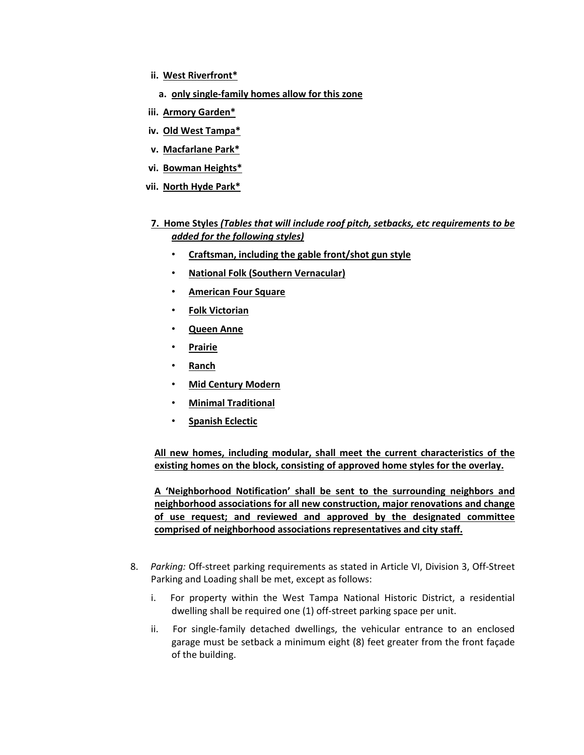- **ii. West Riverfront\***
	- **a. only single‐family homes allow for this zone**
- **iii. Armory Garden\***
- **iv. Old West Tampa\***
- **v. Macfarlane Park\***
- **vi. Bowman Heights\***
- **vii. North Hyde Park\***
- **7. Home Styles** *(Tables that will include roof pitch, setbacks, etc requirements to be added for the following styles)*
	- **Craftsman, including the gable front/shot gun style**
	- **National Folk (Southern Vernacular)**
	- **American Four Square**
	- **Folk Victorian**
	- **Queen Anne**
	- **Prairie**
	- **Ranch**
	- **Mid Century Modern**
	- **Minimal Traditional**
	- **Spanish Eclectic**

**All new homes, including modular, shall meet the current characteristics of the existing homes on the block, consisting of approved home styles for the overlay.**

**A 'Neighborhood Notification' shall be sent to the surrounding neighbors and neighborhood associations for all new construction, major renovations and change of use request; and reviewed and approved by the designated committee comprised of neighborhood associations representatives and city staff.** 

- 8. *Parking:* Off‐street parking requirements as stated in Article VI, Division 3, Off‐Street Parking and Loading shall be met, except as follows:
	- i. For property within the West Tampa National Historic District, a residential dwelling shall be required one (1) off‐street parking space per unit.
	- ii. For single-family detached dwellings, the vehicular entrance to an enclosed garage must be setback a minimum eight (8) feet greater from the front façade of the building.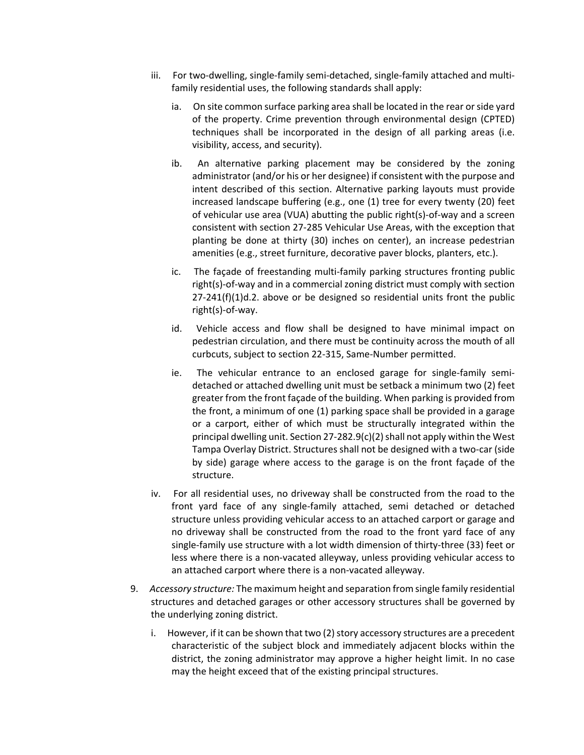- iii. For two-dwelling, single-family semi-detached, single-family attached and multifamily residential uses, the following standards shall apply:
	- ia. On site common surface parking area shall be located in the rear or side yard of the property. Crime prevention through environmental design (CPTED) techniques shall be incorporated in the design of all parking areas (i.e. visibility, access, and security).
	- ib. An alternative parking placement may be considered by the zoning administrator (and/or his or her designee) if consistent with the purpose and intent described of this section. Alternative parking layouts must provide increased landscape buffering (e.g., one (1) tree for every twenty (20) feet of vehicular use area (VUA) abutting the public right(s)-of-way and a screen consistent with section 27‐285 Vehicular Use Areas, with the exception that planting be done at thirty (30) inches on center), an increase pedestrian amenities (e.g., street furniture, decorative paver blocks, planters, etc.).
	- ic. The façade of freestanding multi-family parking structures fronting public right(s)-of-way and in a commercial zoning district must comply with section 27‐241(f)(1)d.2. above or be designed so residential units front the public right(s)‐of‐way.
	- id. Vehicle access and flow shall be designed to have minimal impact on pedestrian circulation, and there must be continuity across the mouth of all curbcuts, subject to section 22‐315, Same‐Number permitted.
	- ie. The vehicular entrance to an enclosed garage for single-family semidetached or attached dwelling unit must be setback a minimum two (2) feet greater from the front façade of the building. When parking is provided from the front, a minimum of one (1) parking space shall be provided in a garage or a carport, either of which must be structurally integrated within the principal dwelling unit. Section 27-282.9(c)(2) shall not apply within the West Tampa Overlay District. Structures shall not be designed with a two‐car (side by side) garage where access to the garage is on the front façade of the structure.
- iv. For all residential uses, no driveway shall be constructed from the road to the front yard face of any single‐family attached, semi detached or detached structure unless providing vehicular access to an attached carport or garage and no driveway shall be constructed from the road to the front yard face of any single-family use structure with a lot width dimension of thirty-three (33) feet or less where there is a non‐vacated alleyway, unless providing vehicular access to an attached carport where there is a non‐vacated alleyway.
- 9. *Accessory structure:* The maximum height and separation from single family residential structures and detached garages or other accessory structures shall be governed by the underlying zoning district.
	- i. However, if it can be shown that two (2) story accessory structures are a precedent characteristic of the subject block and immediately adjacent blocks within the district, the zoning administrator may approve a higher height limit. In no case may the height exceed that of the existing principal structures.